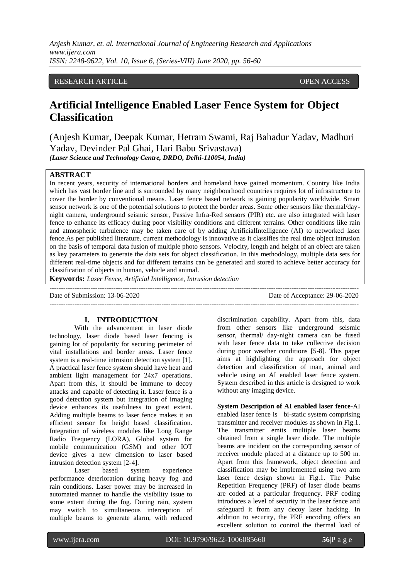## RESEARCH ARTICLE OPEN ACCESS

# **Artificial Intelligence Enabled Laser Fence System for Object Classification**

(Anjesh Kumar, Deepak Kumar, Hetram Swami, Raj Bahadur Yadav, Madhuri Yadav, Devinder Pal Ghai, Hari Babu Srivastava) *(Laser Science and Technology Centre, DRDO, Delhi-110054, India)*

## **ABSTRACT**

In recent years, security of international borders and homeland have gained momentum. Country like India which has vast border line and is surrounded by many neighbourhood countries requires lot of infrastructure to cover the border by conventional means. Laser fence based network is gaining popularity worldwide. Smart sensor network is one of the potential solutions to protect the border areas. Some other sensors like thermal/daynight camera, underground seismic sensor, Passive Infra-Red sensors (PIR) etc. are also integrated with laser fence to enhance its efficacy during poor visibility conditions and different terrains. Other conditions like rain and atmospheric turbulence may be taken care of by adding ArtificialIntelligence (AI) to networked laser fence.As per published literature, current methodology is innovative as it classifies the real time object intrusion on the basis of temporal data fusion of multiple photo sensors. Velocity, length and height of an object are taken as key parameters to generate the data sets for object classification. In this methodology, multiple data sets for different real-time objects and for different terrains can be generated and stored to achieve better accuracy for classification of objects in human, vehicle and animal.

---------------------------------------------------------------------------------------------------------------------------------------

**Keywords:** *Laser Fence, Artificial Intelligence, Intrusion detection*

Date of Submission: 13-06-2020 Date of Acceptance: 29-06-2020 ---------------------------------------------------------------------------------------------------------------------------------------

#### **I. INTRODUCTION**

With the advancement in laser diode technology, laser diode based laser fencing is gaining lot of popularity for securing perimeter of vital installations and border areas. Laser fence system is a real-time intrusion detection system [1]. A practical laser fence system should have heat and ambient light management for 24x7 operations. Apart from this, it should be immune to decoy attacks and capable of detecting it. Laser fence is a good detection system but integration of imaging device enhances its usefulness to great extent. Adding multiple beams to laser fence makes it an efficient sensor for height based classification. Integration of wireless modules like Long Range Radio Frequency (LORA), Global system for mobile communication (GSM) and other IOT device gives a new dimension to laser based intrusion detection system [2-4].

Laser based system experience performance deterioration during heavy fog and rain conditions. Laser power may be increased in automated manner to handle the visibility issue to some extent during the fog. During rain, system may switch to simultaneous interception of multiple beams to generate alarm, with reduced

discrimination capability. Apart from this, data from other sensors like underground seismic sensor, thermal/ day-night camera can be fused with laser fence data to take collective decision during poor weather conditions [5-8]. This paper aims at highlighting the approach for object detection and classification of man, animal and vehicle using an AI enabled laser fence system. System described in this article is designed to work without any imaging device.

**System Description of AI enabled laser fence-**AI enabled laser fence is bi-static system comprising transmitter and receiver modules as shown in Fig.1. The transmitter emits multiple laser beams obtained from a single laser diode. The multiple beams are incident on the corresponding sensor of receiver module placed at a distance up to 500 m. Apart from this framework, object detection and classification may be implemented using two arm laser fence design shown in Fig.1. The Pulse Repetition Frequency (PRF) of laser diode beams are coded at a particular frequency. PRF coding introduces a level of security in the laser fence and safeguard it from any decoy laser hacking. In addition to security, the PRF encoding offers an excellent solution to control the thermal load of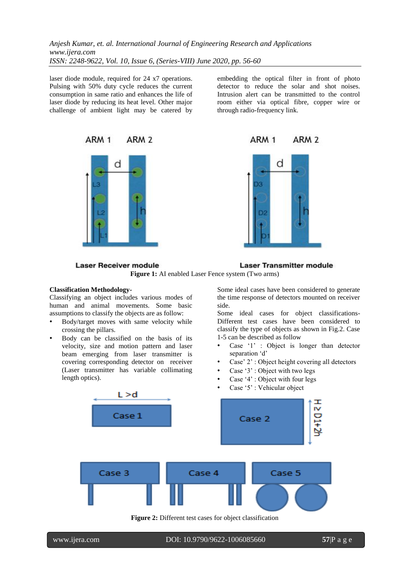laser diode module, required for 24 x7 operations. Pulsing with 50% duty cycle reduces the current consumption in same ratio and enhances the life of laser diode by reducing its heat level. Other major challenge of ambient light may be catered by





embedding the optical filter in front of photo detector to reduce the solar and shot noises. Intrusion alert can be transmitted to the control room either via optical fibre, copper wire or through radio-frequency link.



**Laser Transmitter module Laser Receiver module Figure 1:** AI enabled Laser Fence system (Two arms)

## **Classification Methodology-**

Classifying an object includes various modes of human and animal movements. Some basic assumptions to classify the objects are as follow:

- Body/target moves with same velocity while crossing the pillars.
- Body can be classified on the basis of its velocity, size and motion pattern and laser beam emerging from laser transmitter is covering corresponding detector on receiver (Laser transmitter has variable collimating length optics).

Some ideal cases have been considered to generate the time response of detectors mounted on receiver side.

Some ideal cases for object classifications-Different test cases have been considered to classify the type of objects as shown in Fig.2. Case 1-5 can be described as follow

- Case  $'1'$  : Object is longer than detector separation 'd'
- Case' 2': Object height covering all detectors
- Case '3': Object with two legs
- Case '4' : Object with four legs
- Case '5' : Vehicular object



**Figure 2:** Different test cases for object classification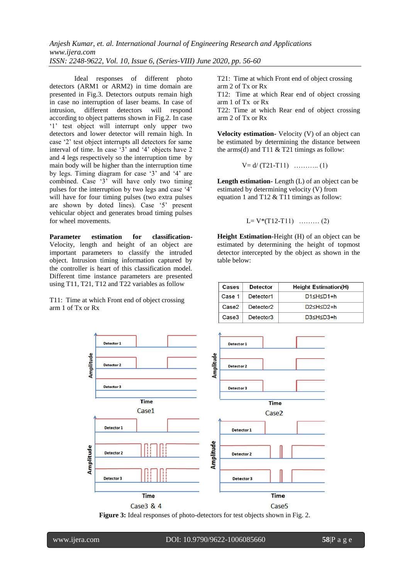Ideal responses of different photo detectors (ARM1 or ARM2) in time domain are presented in Fig.3. Detectors outputs remain high in case no interruption of laser beams. In case of intrusion, different detectors will respond according to object patterns shown in Fig.2. In case '1' test object will interrupt only upper two detectors and lower detector will remain high. In case "2" test object interrupts all detectors for same interval of time. In case '3' and '4' objects have 2 and 4 legs respectively so the interruption time by main body will be higher than the interruption time by legs. Timing diagram for case "3" and "4" are combined. Case '3' will have only two timing pulses for the interruption by two legs and case "4" will have for four timing pulses (two extra pulses are shown by doted lines). Case "5" present vehicular object and generates broad timing pulses for wheel movements.

**Parameter estimation for classification-**Velocity, length and height of an object are important parameters to classify the intruded object. Intrusion timing information captured by the controller is heart of this classification model. Different time instance parameters are presented using T11, T21, T12 and T22 variables as follow

T11: Time at which Front end of object crossing arm 1 of Tx or Rx

T21: Time at which Front end of object crossing arm 2 of Tx or Rx

T12: Time at which Rear end of object crossing arm 1 of Tx or Rx

T22: Time at which Rear end of object crossing arm 2 of Tx or Rx

**Velocity estimation-** Velocity (V) of an object can be estimated by determining the distance between the arms(d) and T11  $&$  T21 timings as follow:

 $V = d/(T21-T11)$  ………….. (1)

**Length estimation-** Length (L) of an object can be estimated by determining velocity (V) from equation 1 and T12 & T11 timings as follow:

 $L= V^*(T12-T11)$  ……… (2)

**Height Estimation-**Height (H) of an object can be estimated by determining the height of topmost detector intercepted by the object as shown in the table below:

| Cases  | <b>Detector</b>       | <b>Height Estimation(H)</b>  |
|--------|-----------------------|------------------------------|
| Case 1 | Detector1             | D1≤H≤D1+h                    |
| Case2  | Detector <sub>2</sub> | $D2$ <h<<math>D2+h</h<<math> |
| Case3  | Detector3             | $D3$ <h<<math>D3+h</h<<math> |



**Figure 3:** Ideal responses of photo-detectors for test objects shown in Fig. 2.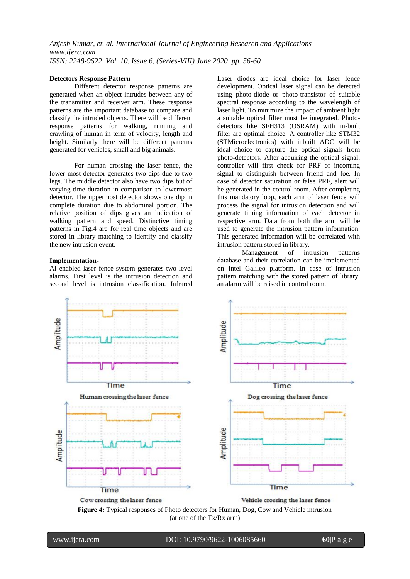## **Detectors R**e**sponse Pattern**

Different detector response patterns are generated when an object intrudes between any of the transmitter and receiver arm. These response patterns are the important database to compare and classify the intruded objects. There will be different response patterns for walking, running and crawling of human in term of velocity, length and height. Similarly there will be different patterns generated for vehicles, small and big animals.

For human crossing the laser fence, the lower-most detector generates two dips due to two legs. The middle detector also have two dips but of varying time duration in comparison to lowermost detector. The uppermost detector shows one dip in complete duration due to abdominal portion. The relative position of dips gives an indication of walking pattern and speed. Distinctive timing patterns in Fig.4 are for real time objects and are stored in library matching to identify and classify the new intrusion event.

### **Implementation-**

AI enabled laser fence system generates two level alarms. First level is the intrusion detection and second level is intrusion classification. Infrared Laser diodes are ideal choice for laser fence development. Optical laser signal can be detected using photo-diode or photo-transistor of suitable spectral response according to the wavelength of laser light. To minimize the impact of ambient light a suitable optical filter must be integrated. Photodetectors like SFH313 (OSRAM) with in-built filter are optimal choice. A controller like STM32 (STMicroelectronics) with inbuilt ADC will be ideal choice to capture the optical signals from photo-detectors. After acquiring the optical signal, controller will first check for PRF of incoming signal to distinguish between friend and foe. In case of detector saturation or false PRF, alert will be generated in the control room. After completing this mandatory loop, each arm of laser fence will process the signal for intrusion detection and will generate timing information of each detector in respective arm. Data from both the arm will be used to generate the intrusion pattern information. This generated information will be correlated with intrusion pattern stored in library.

Management of intrusion patterns database and their correlation can be implemented on Intel Galileo platform. In case of intrusion pattern matching with the stored pattern of library, an alarm will be raised in control room.